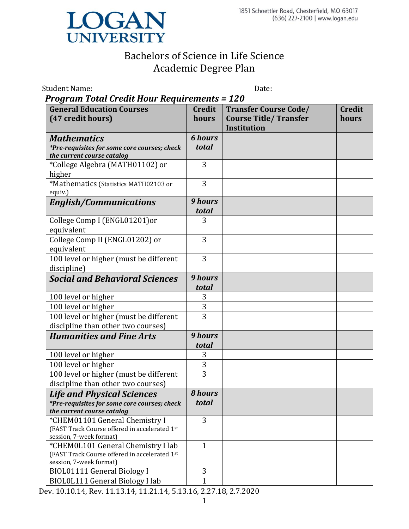

| Student Name:_                                                                                                  |                         | Date:                                                                               |                        |  |  |
|-----------------------------------------------------------------------------------------------------------------|-------------------------|-------------------------------------------------------------------------------------|------------------------|--|--|
| <b>Program Total Credit Hour Requirements = 120</b>                                                             |                         |                                                                                     |                        |  |  |
| <b>General Education Courses</b><br>(47 credit hours)                                                           | <b>Credit</b><br>hours  | <b>Transfer Course Code/</b><br><b>Course Title/ Transfer</b><br><b>Institution</b> | <b>Credit</b><br>hours |  |  |
| <b>Mathematics</b><br>*Pre-requisites for some core courses; check<br>the current course catalog                | <b>6 hours</b><br>total |                                                                                     |                        |  |  |
| *College Algebra (MATH01102) or<br>higher                                                                       | 3                       |                                                                                     |                        |  |  |
| *Mathematics (Statistics MATH02103 or<br>equiv.)                                                                | 3                       |                                                                                     |                        |  |  |
| <b>English/Communications</b>                                                                                   | <b>9 hours</b><br>total |                                                                                     |                        |  |  |
| College Comp I (ENGL01201)or<br>equivalent                                                                      | 3                       |                                                                                     |                        |  |  |
| College Comp II (ENGL01202) or<br>equivalent                                                                    | 3                       |                                                                                     |                        |  |  |
| 100 level or higher (must be different<br>discipline)                                                           | 3                       |                                                                                     |                        |  |  |
| <b>Social and Behavioral Sciences</b>                                                                           | 9 hours<br>total        |                                                                                     |                        |  |  |
| 100 level or higher                                                                                             | 3                       |                                                                                     |                        |  |  |
| 100 level or higher                                                                                             | $\overline{3}$          |                                                                                     |                        |  |  |
| 100 level or higher (must be different<br>discipline than other two courses)                                    | $\overline{3}$          |                                                                                     |                        |  |  |
| <b>Humanities and Fine Arts</b>                                                                                 | 9 hours<br>total        |                                                                                     |                        |  |  |
| 100 level or higher                                                                                             | 3                       |                                                                                     |                        |  |  |
| 100 level or higher                                                                                             | 3                       |                                                                                     |                        |  |  |
| 100 level or higher (must be different<br>discipline than other two courses)                                    | 3                       |                                                                                     |                        |  |  |
| <b>Life and Physical Sciences</b><br>*Pre-requisites for some core courses; check<br>the current course catalog | <b>8</b> hours<br>total |                                                                                     |                        |  |  |
| *CHEM01101 General Chemistry I<br>(FAST Track Course offered in accelerated 1st<br>session, 7-week format)      | 3                       |                                                                                     |                        |  |  |
| *CHEM0L101 General Chemistry I lab<br>(FAST Track Course offered in accelerated 1st<br>session, 7-week format)  | $\mathbf{1}$            |                                                                                     |                        |  |  |
| <b>BIOL01111 General Biology I</b>                                                                              | 3                       |                                                                                     |                        |  |  |
| BIOLOL111 General Biology I lab                                                                                 | 1                       |                                                                                     |                        |  |  |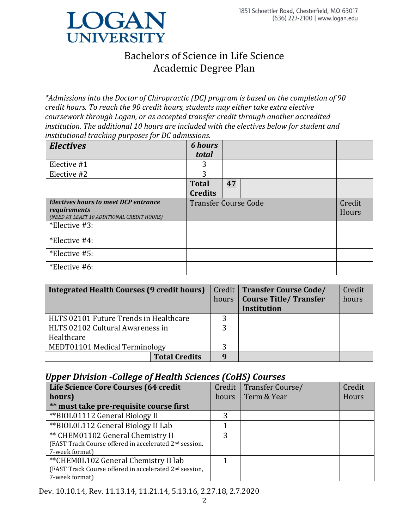

*\*Admissions into the Doctor of Chiropractic (DC) program is based on the completion of 90 credit hours. To reach the 90 credit hours, students may either take extra elective coursework through Logan, or as accepted transfer credit through another accredited institution. The additional 10 hours are included with the electives below for student and institutional tracking purposes for DC admissions.*

| <b>Electives</b>                                                                                   | <b>6</b> hours<br>total        |    |                 |
|----------------------------------------------------------------------------------------------------|--------------------------------|----|-----------------|
| Elective #1                                                                                        | 3                              |    |                 |
| Elective #2                                                                                        | 3                              |    |                 |
|                                                                                                    | <b>Total</b><br><b>Credits</b> | 47 |                 |
| Electives hours to meet DCP entrance<br>requirements<br>(NEED AT LEAST 10 ADDITIONAL CREDIT HOURS) | <b>Transfer Course Code</b>    |    | Credit<br>Hours |
| *Elective #3:                                                                                      |                                |    |                 |
| *Elective #4:                                                                                      |                                |    |                 |
| *Elective #5:                                                                                      |                                |    |                 |
| *Elective #6:                                                                                      |                                |    |                 |

| Integrated Health Courses (9 credit hours) |                      |       | Credit   Transfer Course Code/ | Credit |
|--------------------------------------------|----------------------|-------|--------------------------------|--------|
|                                            |                      | hours | <b>Course Title/ Transfer</b>  | hours  |
|                                            |                      |       | <b>Institution</b>             |        |
| HLTS 02101 Future Trends in Healthcare     |                      | 3     |                                |        |
| HLTS 02102 Cultural Awareness in           |                      |       |                                |        |
| Healthcare                                 |                      |       |                                |        |
| MEDT01101 Medical Terminology              |                      | 3     |                                |        |
|                                            | <b>Total Credits</b> | q     |                                |        |

### *Upper Division -College of Health Sciences (CoHS) Courses*

| Life Science Core Courses (64 credit                               |       | Credit   Transfer Course/ | Credit |
|--------------------------------------------------------------------|-------|---------------------------|--------|
| hours)                                                             | hours | Term & Year               | Hours  |
| ** must take pre-requisite course first                            |       |                           |        |
| **BIOL01112 General Biology II                                     |       |                           |        |
| **BIOLOL112 General Biology II Lab                                 |       |                           |        |
| ** CHEM01102 General Chemistry II                                  | 3     |                           |        |
| (FAST Track Course offered in accelerated 2 <sup>nd</sup> session, |       |                           |        |
| 7-week format)                                                     |       |                           |        |
| ** CHEMOL102 General Chemistry II lab                              |       |                           |        |
| (FAST Track Course offered in accelerated 2 <sup>nd</sup> session, |       |                           |        |
| 7-week format)                                                     |       |                           |        |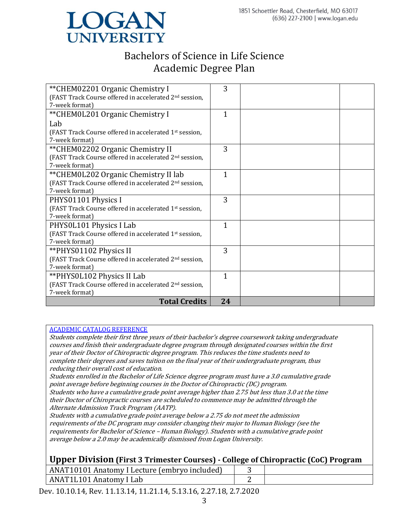

| ** CHEM02201 Organic Chemistry I                                   | 3            |  |
|--------------------------------------------------------------------|--------------|--|
| (FAST Track Course offered in accelerated 2 <sup>nd</sup> session, |              |  |
| 7-week format)                                                     |              |  |
| ** CHEMOL201 Organic Chemistry I                                   | $\mathbf{1}$ |  |
| Lab                                                                |              |  |
| (FAST Track Course offered in accelerated 1 <sup>st</sup> session, |              |  |
| 7-week format)                                                     |              |  |
| **CHEM02202 Organic Chemistry II                                   | 3            |  |
| (FAST Track Course offered in accelerated 2 <sup>nd</sup> session, |              |  |
| 7-week format)                                                     |              |  |
| **CHEM0L202 Organic Chemistry II lab                               | 1            |  |
| (FAST Track Course offered in accelerated 2 <sup>nd</sup> session, |              |  |
| 7-week format)                                                     |              |  |
| PHYS01101 Physics I                                                | 3            |  |
| (FAST Track Course offered in accelerated 1st session,             |              |  |
| 7-week format)                                                     |              |  |
| PHYSOL101 Physics I Lab                                            | $\mathbf{1}$ |  |
| (FAST Track Course offered in accelerated 1st session,             |              |  |
| 7-week format)                                                     |              |  |
| ** PHYS01102 Physics II                                            | 3            |  |
| (FAST Track Course offered in accelerated 2 <sup>nd</sup> session, |              |  |
| 7-week format)                                                     |              |  |
| **PHYS0L102 Physics II Lab                                         | $\mathbf{1}$ |  |
| (FAST Track Course offered in accelerated 2 <sup>nd</sup> session, |              |  |
| 7-week format)                                                     |              |  |
| <b>Total Credits</b>                                               | 24           |  |

#### [ACADEMIC CATALOG REFERENCE](https://www.logan.edu/wp-content/uploads/2020/01/2019-2020-Student-Handbook-and-Academic-Catalog.pdf)

Students complete their first three years of their bachelor's degree coursework taking undergraduate courses and finish their undergraduate degree program through designated courses within the first year of their Doctor of Chiropractic degree program. This reduces the time students need to complete their degrees and saves tuition on the final year of their undergraduate program, thus reducing their overall cost of education.

Students enrolled in the Bachelor of Life Science degree program must have a 3.0 cumulative grade point average before beginning courses in the Doctor of Chiropractic (DC) program.

Students who have a cumulative grade point average higher than 2.75 but less than 3.0 at the time their Doctor of Chiropractic courses are scheduled to commence may be admitted through the Alternate Admission Track Program (AATP).

Students with a cumulative grade point average below a 2.75 do not meet the admission requirements of the DC program may consider changing their major to Human Biology (see the requirements for Bachelor of Science – Human Biology). Students with a cumulative grade point average below a 2.0 may be academically dismissed from Logan University.

### **Upper Division (First 3 Trimester Courses) - College of Chiropractic (CoC) Program**

| Grada Anatomy I Lecture (embryo included)<br>ANAT |  |
|---------------------------------------------------|--|
| ANAT1L101 Anatomy '<br>ىab                        |  |